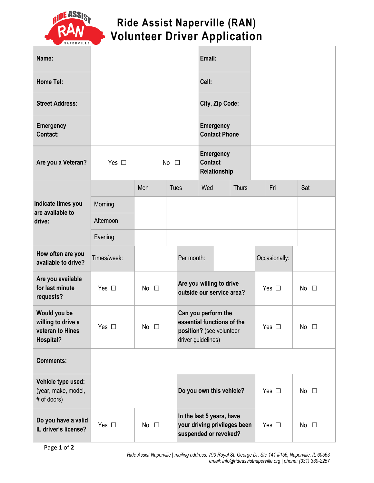

## **Ride Assist Naperville (RAN) Volunteer Driver Application**

| Name:                                                               |               |              |              |      |                                                                                                     |                 | Email:                                   |                              |               |               |              |
|---------------------------------------------------------------------|---------------|--------------|--------------|------|-----------------------------------------------------------------------------------------------------|-----------------|------------------------------------------|------------------------------|---------------|---------------|--------------|
| <b>Home Tel:</b>                                                    |               |              |              |      |                                                                                                     | Cell:           |                                          |                              |               |               |              |
| <b>Street Address:</b>                                              |               |              |              |      |                                                                                                     | City, Zip Code: |                                          |                              |               |               |              |
| <b>Emergency</b><br>Contact:                                        |               |              |              |      |                                                                                                     |                 | <b>Emergency</b><br><b>Contact Phone</b> |                              |               |               |              |
| Are you a Veteran?                                                  | Yes $\Box$    | No $\square$ |              |      | <b>Emergency</b><br><b>Contact</b><br>Relationship                                                  |                 |                                          |                              |               |               |              |
| Indicate times you<br>are available to<br>drive:                    |               | Mon          |              | Tues |                                                                                                     | Wed             |                                          | <b>Thurs</b>                 |               | Fri           | Sat          |
|                                                                     | Morning       |              |              |      |                                                                                                     |                 |                                          |                              |               |               |              |
|                                                                     | Afternoon     |              |              |      |                                                                                                     |                 |                                          |                              |               |               |              |
|                                                                     | Evening       |              |              |      |                                                                                                     |                 |                                          |                              |               |               |              |
| How often are you<br>available to drive?                            | Times/week:   |              |              |      | Per month:                                                                                          |                 |                                          |                              |               | Occasionally: |              |
| Are you available<br>for last minute<br>requests?                   | Yes $\square$ | No $\square$ |              |      | Are you willing to drive<br>outside our service area?                                               |                 |                                          |                              | Yes $\square$ | No $\square$  |              |
| Would you be<br>willing to drive a<br>veteran to Hines<br>Hospital? | Yes $\square$ | No $\square$ |              |      | Can you perform the<br>essential functions of the<br>position? (see volunteer<br>driver guidelines) |                 |                                          |                              | Yes $\square$ | No $\square$  |              |
| <b>Comments:</b>                                                    |               |              |              |      |                                                                                                     |                 |                                          |                              |               |               |              |
| Vehicle type used:<br>(year, make, model,<br># of doors)            |               |              |              |      | Do you own this vehicle?                                                                            |                 |                                          |                              |               | Yes $\square$ | No $\square$ |
| Do you have a valid<br>IL driver's license?                         | Yes $\square$ |              | No $\square$ |      | In the last 5 years, have<br>suspended or revoked?                                                  |                 |                                          | your driving privileges been |               | Yes $\square$ | No $\square$ |